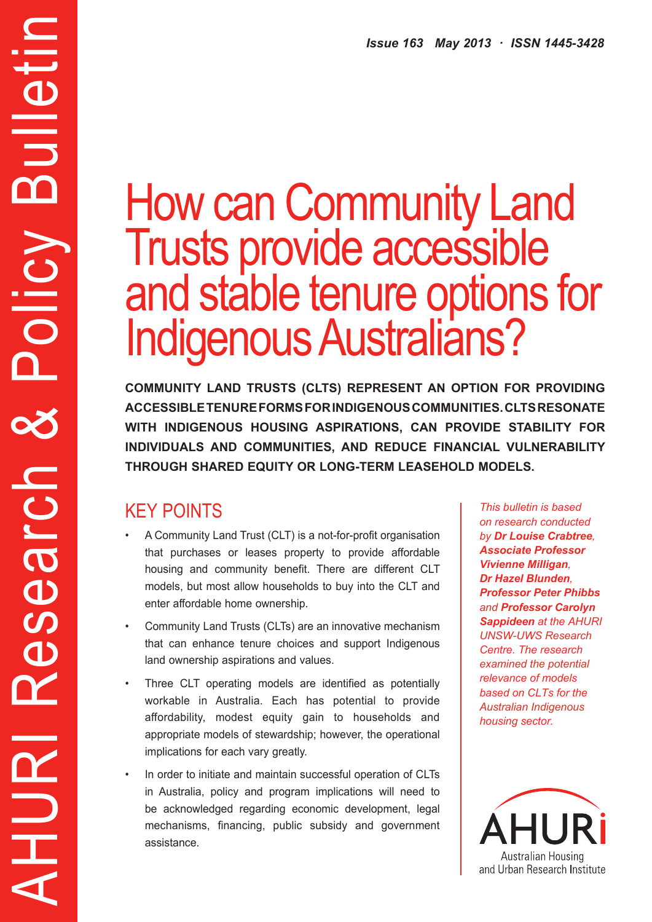# How can Community Land Trusts provide accessible and stable tenure options for Indigenous Australians?

**COMMUNITY LAND TRUSTS (CLTS) REPRESENT AN OPTION FOR PROVIDING ACCESSIBLE TENURE FORMS FOR INDIGENOUS COMMUNITIES. CLTS RESONATE WITH INDIGENOUS HOUSING ASPIRATIONS, CAN PROVIDE STABILITY FOR INDIVIDUALS AND COMMUNITIES, AND REDUCE FINANCIAL VULNERABILITY THROUGH SHARED EQUITY OR LONG-TERM LEASEHOLD MODELS.**

# KEY POINTS

AHURI Research & Policy Bulletin

Search

PO

HURI

**Alletir** 

m

Policy

- A Community Land Trust (CLT) is a not-for-profit organisation that purchases or leases property to provide affordable housing and community benefit. There are different CLT models, but most allow households to buy into the CLT and enter affordable home ownership.
- Community Land Trusts (CLTs) are an innovative mechanism that can enhance tenure choices and support Indigenous land ownership aspirations and values.
- • Three CLT operating models are identified as potentially workable in Australia. Each has potential to provide affordability, modest equity gain to households and appropriate models of stewardship; however, the operational implications for each vary greatly.
- In order to initiate and maintain successful operation of CLTs in Australia, policy and program implications will need to be acknowledged regarding economic development, legal mechanisms, financing, public subsidy and government assistance.

*This bulletin is based on research conducted by Dr Louise Crabtree, Associate Professor Vivienne Milligan, Dr Hazel Blunden, Professor Peter Phibbs and Professor Carolyn Sappideen at the AHURI UNSW-UWS Research Centre. The research examined the potential relevance of models based on CLTs for the Australian Indigenous housing sector.*

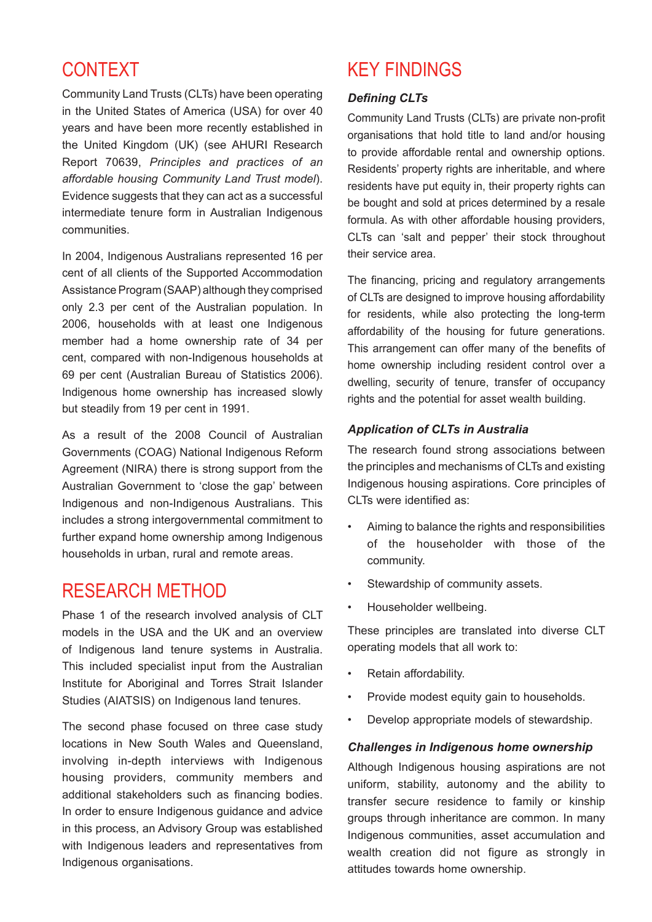## CONTEXT

Community Land Trusts (CLTs) have been operating in the United States of America (USA) for over 40 years and have been more recently established in the United Kingdom (UK) (see AHURI Research Report 70639, *Principles and practices of an affordable housing Community Land Trust model*). Evidence suggests that they can act as a successful intermediate tenure form in Australian Indigenous communities.

In 2004, Indigenous Australians represented 16 per cent of all clients of the Supported Accommodation Assistance Program (SAAP) although they comprised only 2.3 per cent of the Australian population. In 2006, households with at least one Indigenous member had a home ownership rate of 34 per cent, compared with non-Indigenous households at 69 per cent (Australian Bureau of Statistics 2006). Indigenous home ownership has increased slowly but steadily from 19 per cent in 1991.

As a result of the 2008 Council of Australian Governments (COAG) National Indigenous Reform Agreement (NIRA) there is strong support from the Australian Government to 'close the gap' between Indigenous and non-Indigenous Australians. This includes a strong intergovernmental commitment to further expand home ownership among Indigenous households in urban, rural and remote areas.

## RESEARCH METHOD

Phase 1 of the research involved analysis of CLT models in the USA and the UK and an overview of Indigenous land tenure systems in Australia. This included specialist input from the Australian Institute for Aboriginal and Torres Strait Islander Studies (AIATSIS) on Indigenous land tenures.

The second phase focused on three case study locations in New South Wales and Queensland, involving in-depth interviews with Indigenous housing providers, community members and additional stakeholders such as financing bodies. In order to ensure Indigenous guidance and advice in this process, an Advisory Group was established with Indigenous leaders and representatives from Indigenous organisations.

# KEY FINDINGS

#### *Defining CLTs*

Community Land Trusts (CLTs) are private non-profit organisations that hold title to land and/or housing to provide affordable rental and ownership options. Residents' property rights are inheritable, and where residents have put equity in, their property rights can be bought and sold at prices determined by a resale formula. As with other affordable housing providers, CLTs can 'salt and pepper' their stock throughout their service area.

The financing, pricing and regulatory arrangements of CLTs are designed to improve housing affordability for residents, while also protecting the long-term affordability of the housing for future generations. This arrangement can offer many of the benefits of home ownership including resident control over a dwelling, security of tenure, transfer of occupancy rights and the potential for asset wealth building.

#### *Application of CLTs in Australia*

The research found strong associations between the principles and mechanisms of CLTs and existing Indigenous housing aspirations. Core principles of CLTs were identified as:

- Aiming to balance the rights and responsibilities of the householder with those of the community.
- Stewardship of community assets.
- Householder wellbeing.

These principles are translated into diverse CLT operating models that all work to:

- Retain affordability.
- • Provide modest equity gain to households.
- • Develop appropriate models of stewardship.

#### *Challenges in Indigenous home ownership*

Although Indigenous housing aspirations are not uniform, stability, autonomy and the ability to transfer secure residence to family or kinship groups through inheritance are common. In many Indigenous communities, asset accumulation and wealth creation did not figure as strongly in attitudes towards home ownership.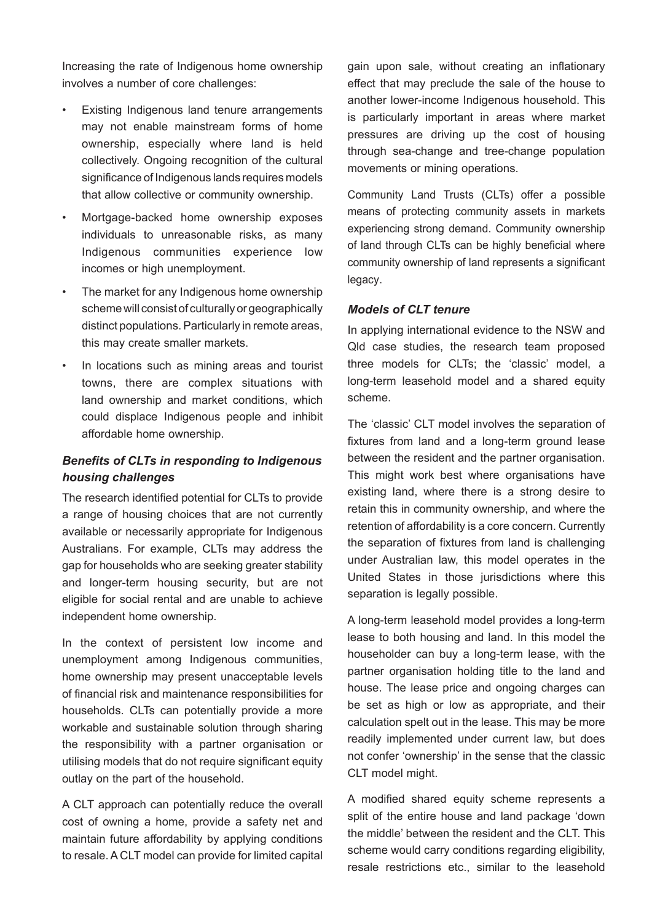Increasing the rate of Indigenous home ownership involves a number of core challenges:

- Existing Indigenous land tenure arrangements may not enable mainstream forms of home ownership, especially where land is held collectively. Ongoing recognition of the cultural significance of Indigenous lands requires models that allow collective or community ownership.
- Mortgage-backed home ownership exposes individuals to unreasonable risks, as many Indigenous communities experience low incomes or high unemployment.
- The market for any Indigenous home ownership scheme will consist of culturally or geographically distinct populations. Particularly in remote areas, this may create smaller markets.
- In locations such as mining areas and tourist towns, there are complex situations with land ownership and market conditions, which could displace Indigenous people and inhibit affordable home ownership.

#### *Benefits of CLTs in responding to Indigenous housing challenges*

The research identified potential for CLTs to provide a range of housing choices that are not currently available or necessarily appropriate for Indigenous Australians. For example, CLTs may address the gap for households who are seeking greater stability and longer-term housing security, but are not eligible for social rental and are unable to achieve independent home ownership.

In the context of persistent low income and unemployment among Indigenous communities, home ownership may present unacceptable levels of financial risk and maintenance responsibilities for households. CLTs can potentially provide a more workable and sustainable solution through sharing the responsibility with a partner organisation or utilising models that do not require significant equity outlay on the part of the household.

A CLT approach can potentially reduce the overall cost of owning a home, provide a safety net and maintain future affordability by applying conditions to resale. A CLT model can provide for limited capital gain upon sale, without creating an inflationary effect that may preclude the sale of the house to another lower-income Indigenous household. This is particularly important in areas where market pressures are driving up the cost of housing through sea-change and tree-change population movements or mining operations.

Community Land Trusts (CLTs) offer a possible means of protecting community assets in markets experiencing strong demand. Community ownership of land through CLTs can be highly beneficial where community ownership of land represents a significant legacy.

#### *Models of CLT tenure*

In applying international evidence to the NSW and Qld case studies, the research team proposed three models for CLTs; the 'classic' model, a long-term leasehold model and a shared equity scheme.

The 'classic' CLT model involves the separation of fixtures from land and a long-term ground lease between the resident and the partner organisation. This might work best where organisations have existing land, where there is a strong desire to retain this in community ownership, and where the retention of affordability is a core concern. Currently the separation of fixtures from land is challenging under Australian law, this model operates in the United States in those jurisdictions where this separation is legally possible.

A long-term leasehold model provides a long-term lease to both housing and land. In this model the householder can buy a long-term lease, with the partner organisation holding title to the land and house. The lease price and ongoing charges can be set as high or low as appropriate, and their calculation spelt out in the lease. This may be more readily implemented under current law, but does not confer 'ownership' in the sense that the classic CLT model might.

A modified shared equity scheme represents a split of the entire house and land package 'down the middle' between the resident and the CLT. This scheme would carry conditions regarding eligibility. resale restrictions etc., similar to the leasehold